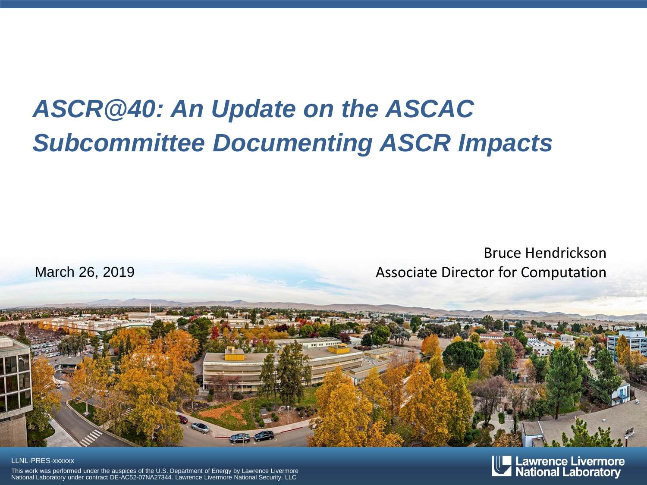#### *ASCR@40: An Update on the ASCAC Subcommittee Documenting ASCR Impacts*

#### Bruce Hendrickson March 26, 2019 March 26, 2019



#### LLNL-PRES-xxxxxx

This work was performed under the auspices of the U.S. Department of Energy by Lawrence Livermore National Laboratory under contract DE-AC52-07NA27344. Lawrence Livermore National Security, LLC

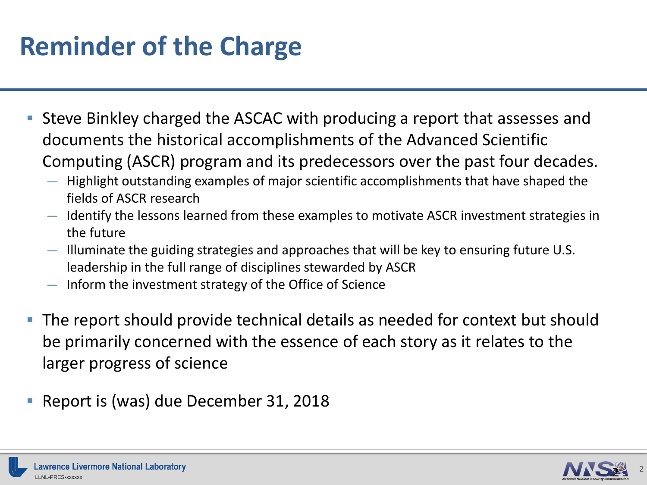# **Reminder of the Charge**

- Steve Binkley charged the ASCAC with producing a report that assesses and documents the historical accomplishments of the Advanced Scientific Computing (ASCR) program and its predecessors over the past four decades.
	- Highlight outstanding examples of major scientific accomplishments that have shaped the fields of ASCR research
	- Identify the lessons learned from these examples to motivate ASCR investment strategies in the future
	- Illuminate the guiding strategies and approaches that will be key to ensuring future U.S. leadership in the full range of disciplines stewarded by ASCR
	- Inform the investment strategy of the Office of Science
- The report should provide technical details as needed for context but should be primarily concerned with the essence of each story as it relates to the larger progress of science
- Report is (was) due December 31, 2018

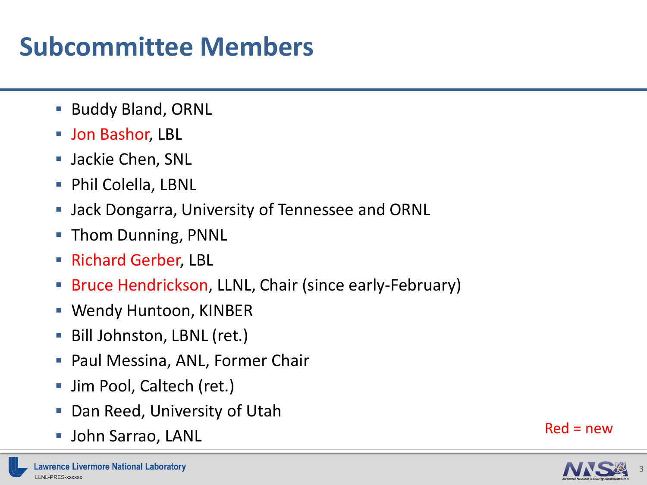# **Subcommittee Members**

- **Buddy Bland, ORNL**
- **Jon Bashor, LBL**
- **Jackie Chen, SNL**
- **Phil Colella, LBNL**
- **Jack Dongarra, University of Tennessee and ORNL**
- **Thom Dunning, PNNL**
- **Richard Gerber, LBL**
- Bruce Hendrickson, LLNL, Chair (since early-February)
- Wendy Huntoon, KINBER
- **Bill Johnston, LBNL (ret.)**
- **Paul Messina, ANL, Former Chair**
- Jim Pool, Caltech (ret.)
- Dan Reed, University of Utah
- John Sarrao, LANL Red = new



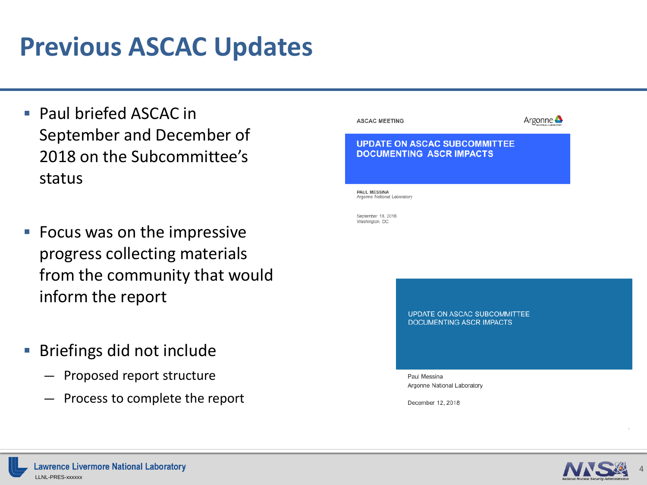#### **Previous ASCAC Updates**

- **Paul briefed ASCAC in** September and December of 2018 on the Subcommittee's status
- **Focus was on the impressive** progress collecting materials from the community that would inform the report
- **Briefings did not include** 
	- Proposed report structure
	- Process to complete the report



December 12, 2018

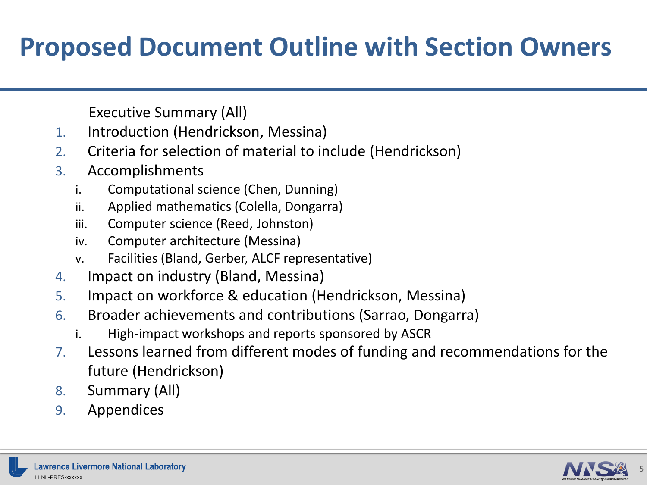### **Proposed Document Outline with Section Owners**

Executive Summary (All)

- 1. Introduction (Hendrickson, Messina)
- 2. Criteria for selection of material to include (Hendrickson)
- 3. Accomplishments
	- i. Computational science (Chen, Dunning)
	- ii. Applied mathematics (Colella, Dongarra)
	- iii. Computer science (Reed, Johnston)
	- iv. Computer architecture (Messina)
	- v. Facilities (Bland, Gerber, ALCF representative)
- 4. Impact on industry (Bland, Messina)
- 5. Impact on workforce & education (Hendrickson, Messina)
- 6. Broader achievements and contributions (Sarrao, Dongarra)
	- i. High-impact workshops and reports sponsored by ASCR
- 7. Lessons learned from different modes of funding and recommendations for the future (Hendrickson)
- 8. Summary (All)
- 9. Appendices

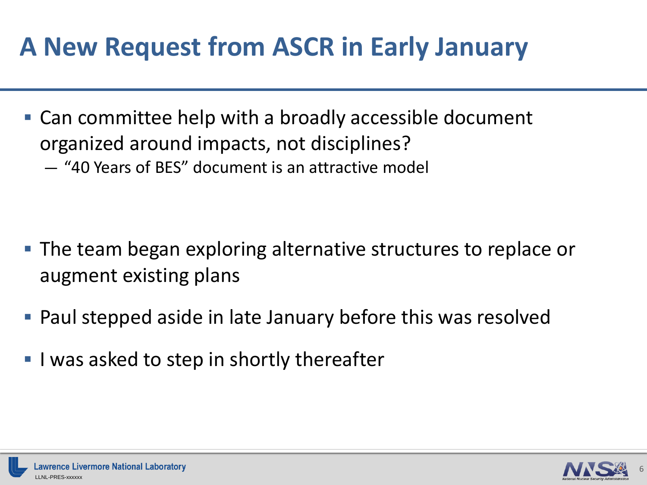# **A New Request from ASCR in Early January**

- Can committee help with a broadly accessible document organized around impacts, not disciplines?
	- "40 Years of BES" document is an attractive model

- The team began exploring alternative structures to replace or augment existing plans
- Paul stepped aside in late January before this was resolved
- I was asked to step in shortly thereafter

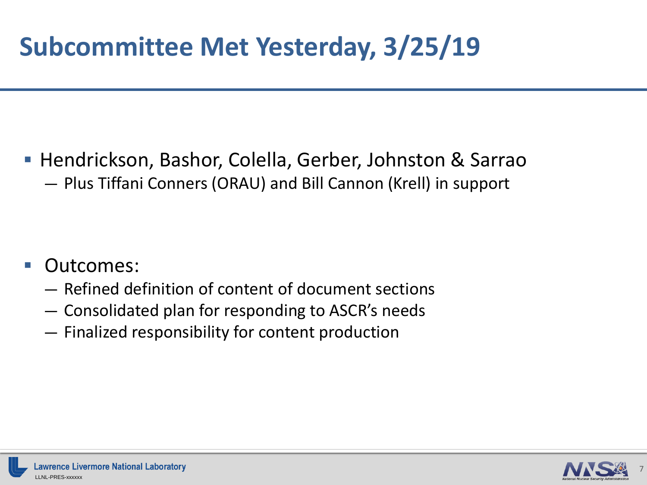# **Subcommittee Met Yesterday, 3/25/19**

- Hendrickson, Bashor, Colella, Gerber, Johnston & Sarrao
	- Plus Tiffani Conners (ORAU) and Bill Cannon (Krell) in support

- Outcomes:
	- Refined definition of content of document sections
	- Consolidated plan for responding to ASCR's needs
	- Finalized responsibility for content production

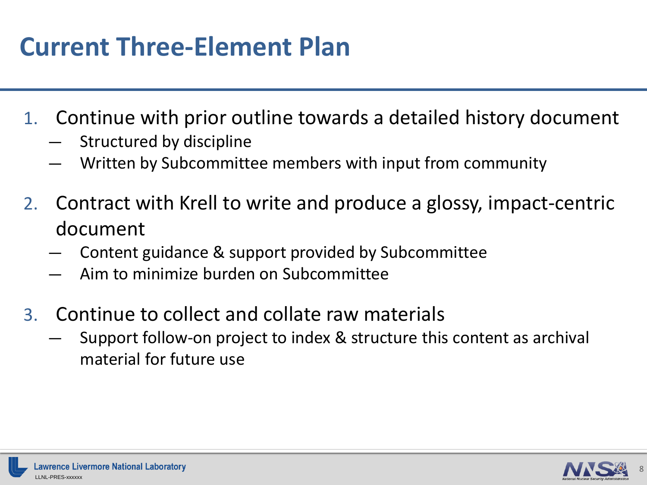## **Current Three-Element Plan**

- 1. Continue with prior outline towards a detailed history document
	- Structured by discipline
	- Written by Subcommittee members with input from community
- 2. Contract with Krell to write and produce a glossy, impact-centric document
	- Content guidance & support provided by Subcommittee
	- Aim to minimize burden on Subcommittee
- 3. Continue to collect and collate raw materials
	- Support follow-on project to index & structure this content as archival material for future use

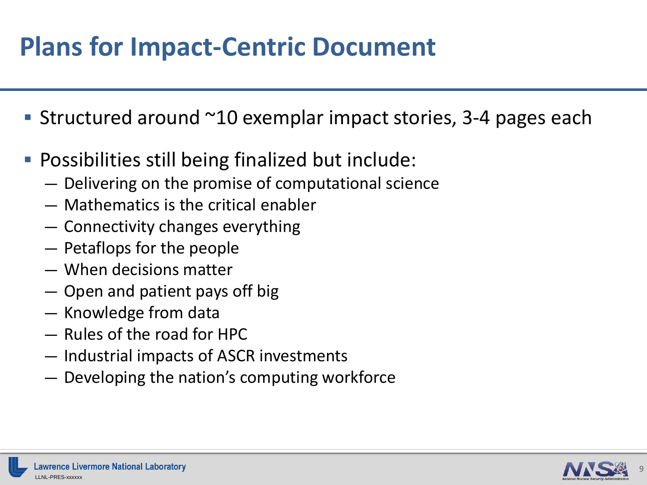## **Plans for Impact-Centric Document**

- Structured around  $\sim$ 10 exemplar impact stories, 3-4 pages each
- **Possibilities still being finalized but include:** 
	- Delivering on the promise of computational science
	- Mathematics is the critical enabler
	- Connectivity changes everything
	- Petaflops for the people
	- When decisions matter
	- Open and patient pays off big
	- Knowledge from data
	- Rules of the road for HPC
	- Industrial impacts of ASCR investments
	- Developing the nation's computing workforce

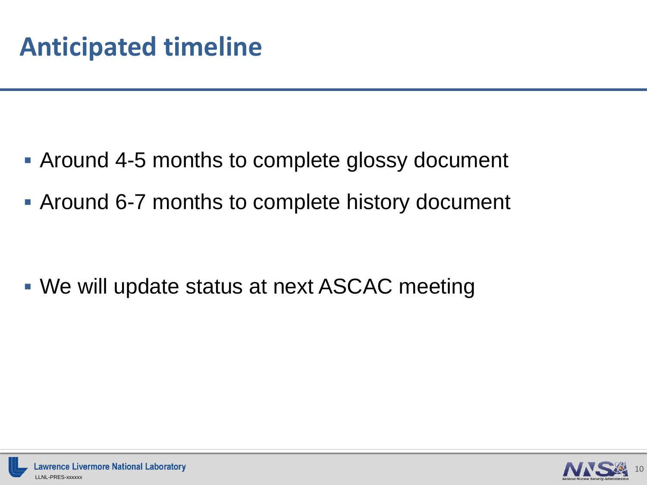- Around 4-5 months to complete glossy document
- Around 6-7 months to complete history document

We will update status at next ASCAC meeting

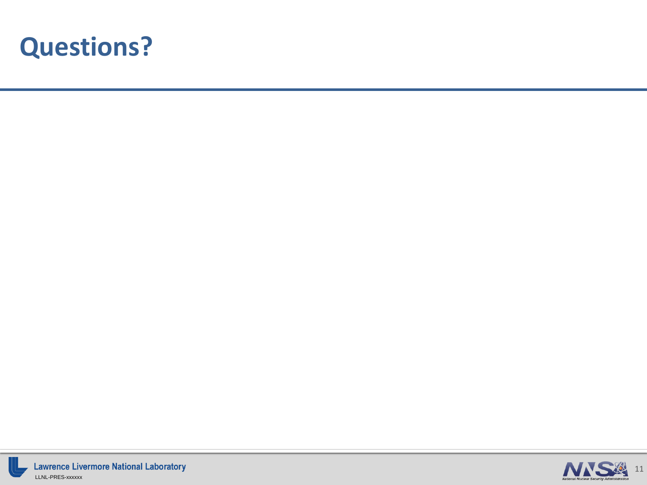